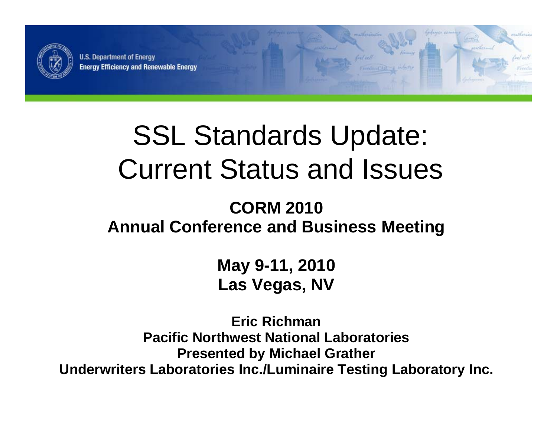

**U.S. Department of Energy Energy Efficiency and Renewable Energy** 

### SSL Standards Update: Current Status and Issues

estherin

#### **CORM 2010Annual Conference and Business Meeting**

**May 9-11, 2010 Las Vegas, NV**

**Eric RichmanPacific Northwest National LaboratoriesP t d b Mi h l Presen e by c haelG th ra er Underwriters Laboratories Inc./Luminaire Testing Laboratory Inc.**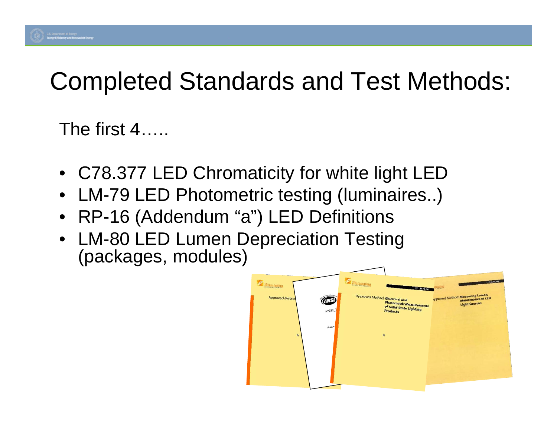### Completed Standards and Test Methods: Methods:

The first 4.....

- C78.377 LED Chromaticity for white light LED
- •LM-79 LED Photometric testing (luminaires..)
- RP-16 (Addendum "a") LED Definitions
- LM-80 LED Lumen Depreciation Testing (packages, modules)

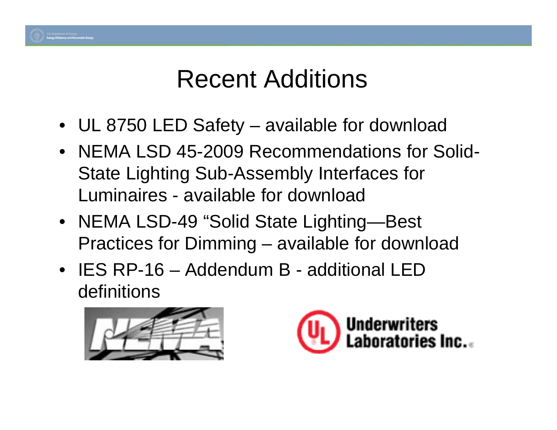

- UL 8750 LED Safet y available for download
- NEMA LSD 45-2009 Recommendations for Solid-State Lighting Sub-Assembly Interfaces for Luminaires - available for download
- NEMA LSD-49 "Solid State Lighting—Best Practices for Dimming – available for download
- IES RP-16 Addendum B additional LED definitions



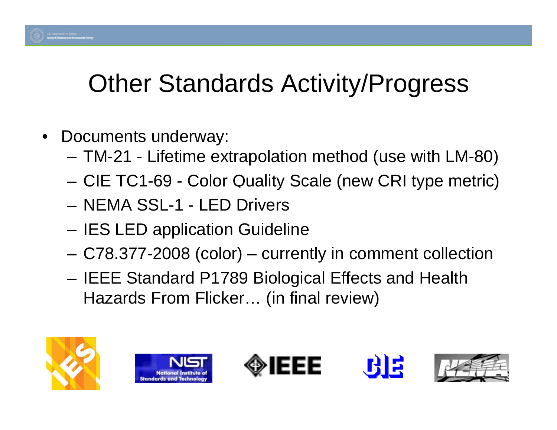### Other Standards Activity/Progress

- $\bullet$  Documents underway:
	- –TM-21 - Lifetime extrapolation method (use with LM-80)
	- CIE TC1-69 Color Quality Scale (new CRI type metric)
	- NEMA SSL-1 LED Drivers
	- –IES LED application Guideline
	- C78.377-2008 (color) currently in comment collection
	- IEEE Standard P1789 Biological Effects and Health Hazards From Flicker... (in final review)









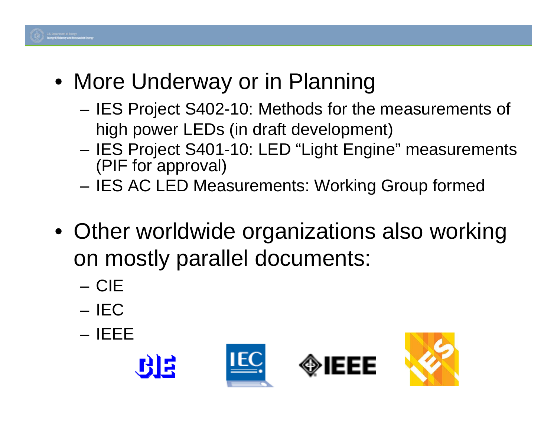

- More Underway or in Planning
	- IES Project S402-10: Methods for the measurements of high power LEDs (in draft development)
	- IES Project S401-10: LED "Light Engine" measurements (PIF for approval)
	- IES AC LED Measurements: Working Group formed
- $\bullet\,$  Other worldwide organizations also working on mostly parallel documents:
	- CIE
	- IEC
	- IEEE





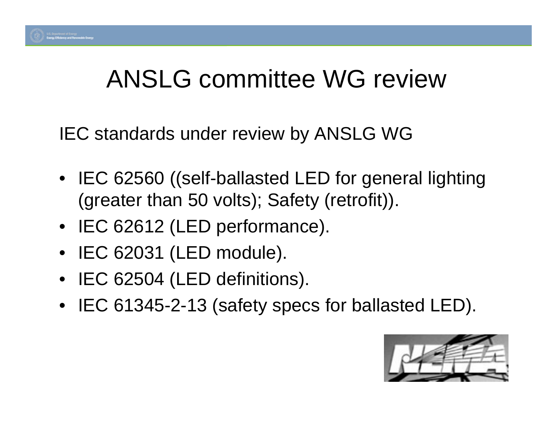

#### ANSLG committee WG review

IEC standards under review by ANSLG WG

- $\bullet\;$  IEC 62560 ((self-ballasted LED for general lighting (greater than 50 volts); Safety (retrofit)).
- IEC 62612 (LED performance).
- IEC 62031 (LED module).
- IEC 62504 (LED definitions).
- IEC 61345-2-13 (safety specs for ballasted LED).

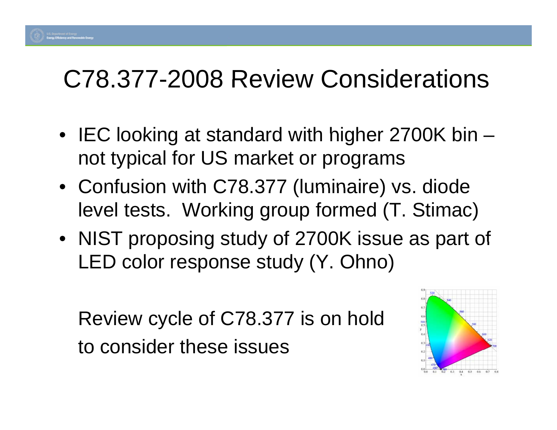#### C78.377-2008 Review Considerations

- IEC looking at standard with higher 2700K bin not typical for US market or programs
- Confusion with C78.377 (luminaire) vs. diode level tests. Working group formed (T. Stimac)
- NIST proposing study of 2700K issue as part of LED color response study (Y. Ohno)

Review cycle of C78.377 is on hold to consider these issues

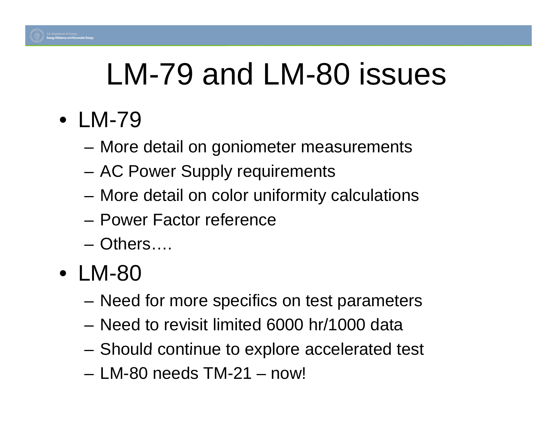

# LM-79 and LM-80 issues

- LM-79
	- More detail on goniometer measurements
	- AC Power Supply requirements
	- More detail on color uniformity calculations
	- Power Factor reference
	- Others….
- LM-80
	- $-$  Need for more specifics on test parameters
	- Need to revisit limited 6000 hr/1000 data
	- Should continue to explore accelerated test
	- LM-80 needs TM-21 now!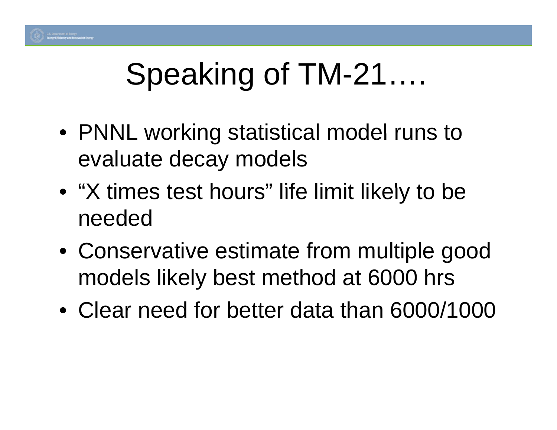

# Speaking of TM-21….

- PNNL working statistical model runs to evaluate decay models
- "X times test hours" life limit likely to be needed
- Conservative estimate from multiple good models likely best method at 6000 hrs
- Clear need for better data than 6000/1000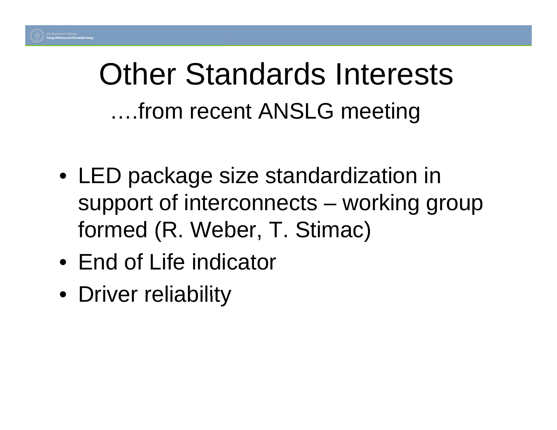### Other Standards Interests ….from recent ANSLG meeting

- $\bullet\,$  LED package size standardization in support of interconnects – working group formed (R. Weber, T. Stimac)
- End of Life indicator
- Driver reliability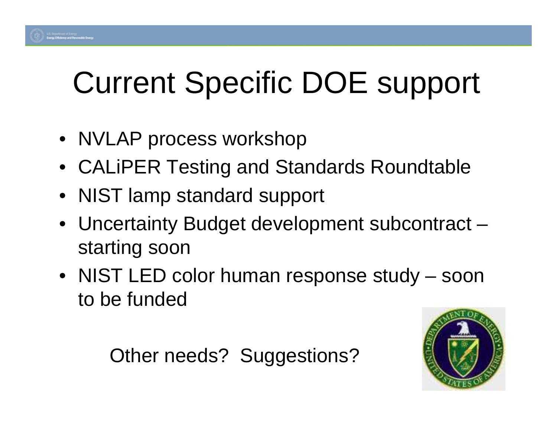# **Current Specific DOE support**

- NVLAP process workshop
- CALiPER Testing and Standards Roundtable
- NIST lamp standard support
- Uncertainty Budget development subcontract starting soon
- NIST LED color human response study soon to be funded

Other needs? Suggestions?